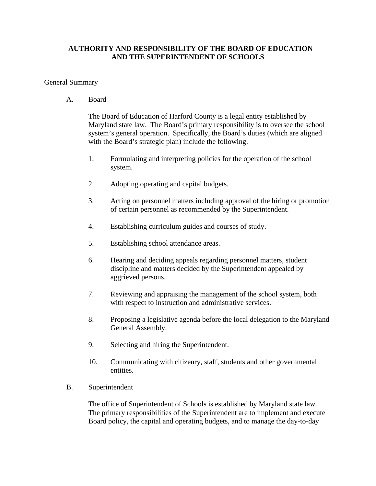## **AUTHORITY AND RESPONSIBILITY OF THE BOARD OF EDUCATION AND THE SUPERINTENDENT OF SCHOOLS**

## General Summary

A. Board

The Board of Education of Harford County is a legal entity established by Maryland state law. The Board's primary responsibility is to oversee the school system's general operation. Specifically, the Board's duties (which are aligned with the Board's strategic plan) include the following.

- 1. Formulating and interpreting policies for the operation of the school system.
- 2. Adopting operating and capital budgets.
- 3. Acting on personnel matters including approval of the hiring or promotion of certain personnel as recommended by the Superintendent.
- 4. Establishing curriculum guides and courses of study.
- 5. Establishing school attendance areas.
- 6. Hearing and deciding appeals regarding personnel matters, student discipline and matters decided by the Superintendent appealed by aggrieved persons.
- 7. Reviewing and appraising the management of the school system, both with respect to instruction and administrative services.
- 8. Proposing a legislative agenda before the local delegation to the Maryland General Assembly.
- 9. Selecting and hiring the Superintendent.
- 10. Communicating with citizenry, staff, students and other governmental entities.
- B. Superintendent

 The office of Superintendent of Schools is established by Maryland state law. The primary responsibilities of the Superintendent are to implement and execute Board policy, the capital and operating budgets, and to manage the day-to-day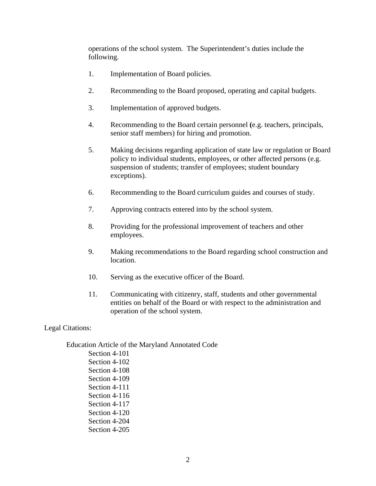operations of the school system. The Superintendent's duties include the following.

- 1. Implementation of Board policies.
- 2. Recommending to the Board proposed, operating and capital budgets.
- 3. Implementation of approved budgets.
- 4. Recommending to the Board certain personnel **(**e.g. teachers, principals, senior staff members) for hiring and promotion.
- 5. Making decisions regarding application of state law or regulation or Board policy to individual students, employees, or other affected persons (e.g. suspension of students; transfer of employees; student boundary exceptions).
- 6. Recommending to the Board curriculum guides and courses of study.
- 7. Approving contracts entered into by the school system.
- 8. Providing for the professional improvement of teachers and other employees.
- 9. Making recommendations to the Board regarding school construction and location.
- 10. Serving as the executive officer of the Board.
- 11. Communicating with citizenry, staff, students and other governmental entities on behalf of the Board or with respect to the administration and operation of the school system.

## Legal Citations:

 Education Article of the Maryland Annotated Code Section 4-101 Section 4-102 Section 4-108 Section 4-109 Section 4-111 Section 4-116 Section 4-117 Section 4-120 Section 4-204 Section 4-205